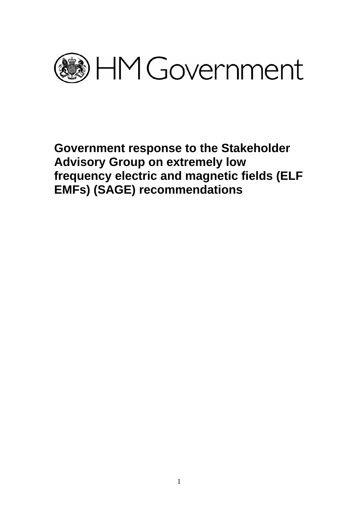

**Government response to the Stakeholder Advisory Group on extremely low frequency electric and magnetic fields (ELF EMFs) (SAGE) recommendations**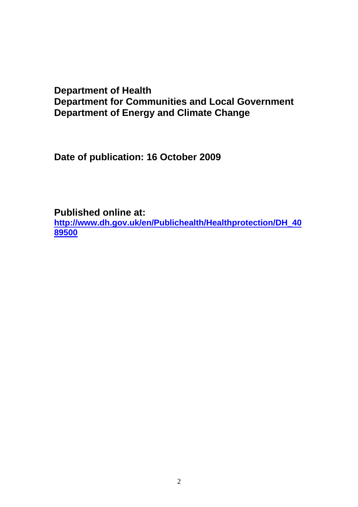# **Department of Health Department for Communities and Local Government Department of Energy and Climate Change**

**Date of publication: 16 October 2009** 

**Published online at:** 

**[http://www.dh.gov.uk/en/Publichealth/Healthprotection/DH\\_40](http://www.dh.gov.uk/en/Publichealth/Healthprotection/DH_4089500) [89500](http://www.dh.gov.uk/en/Publichealth/Healthprotection/DH_4089500)**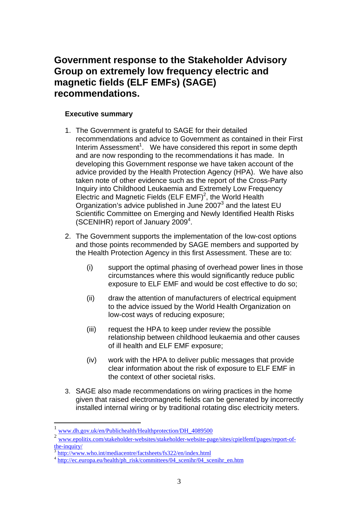# **Government response to the Stakeholder Advisory Group on extremely low frequency electric and magnetic fields (ELF EMFs) (SAGE) recommendations.**

# **Executive summary**

- 1. The Government is grateful to SAGE for their detailed recommendations and advice to Government as contained in their First Interim Assessment<sup>[1](#page-2-0)</sup>. We have considered this report in some depth and are now responding to the recommendations it has made. In developing this Government response we have taken account of the advice provided by the Health Protection Agency (HPA). We have also taken note of other evidence such as the report of the Cross-Party Inquiry into Childhood Leukaemia and Extremely Low Frequency Electric and Magnetic Fields (ELF EMF)<sup>2</sup>, the World Health Organization's advice published in June 2007 $3$  and the latest EU Scientific Committee on Emerging and Newly Identified Health Risks (SCENIHR) report of January 2009<sup>4</sup>.
- 2. The Government supports the implementation of the low-cost options and those points recommended by SAGE members and supported by the Health Protection Agency in this first Assessment. These are to:
	- (i) support the optimal phasing of overhead power lines in those circumstances where this would significantly reduce public exposure to ELF EMF and would be cost effective to do so;
	- (ii) draw the attention of manufacturers of electrical equipment to the advice issued by the World Health Organization on low-cost ways of reducing exposure;
	- (iii) request the HPA to keep under review the possible relationship between childhood leukaemia and other causes of ill health and ELF EMF exposure;
	- (iv) work with the HPA to deliver public messages that provide clear information about the risk of exposure to ELF EMF in the context of other societal risks.
- 3. SAGE also made recommendations on wiring practices in the home given that raised electromagnetic fields can be generated by incorrectly installed internal wiring or by traditional rotating disc electricity meters.

 $\overline{a}$ 

<span id="page-2-0"></span><sup>1</sup> [www.dh.gov.uk/en/Publichealth/Healthprotection/DH\\_4089500](http://www.dh.gov.uk/en/Publichealth/Healthprotection/DH_4089500)

<span id="page-2-1"></span><sup>2</sup> [www.epolitix.com/stakeholder-websites/stakeholder-website-page/sites/cpielfemf/pages/report-of](http://www.epolitix.com/stakeholder-websites/stakeholder-website-page/sites/cpielfemf/pages/report-of-the-inquiry/)[the-inquiry/](http://www.epolitix.com/stakeholder-websites/stakeholder-website-page/sites/cpielfemf/pages/report-of-the-inquiry/)<br><sup>3</sup> <http://www.who.int/mediacentre/factsheets/fs322/en/index.html><br><sup>4</sup> http://ec.europa.eu/health/ph\_risk/committees/04\_scenihr/04\_scenihr\_en.htm

<span id="page-2-2"></span>

<span id="page-2-3"></span>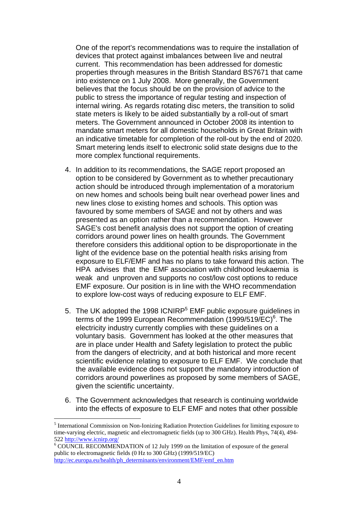One of the report's recommendations was to require the installation of devices that protect against imbalances between live and neutral current. This recommendation has been addressed for domestic properties through measures in the British Standard BS7671 that came into existence on 1 July 2008. More generally, the Government believes that the focus should be on the provision of advice to the public to stress the importance of regular testing and inspection of internal wiring. As regards rotating disc meters, the transition to solid state meters is likely to be aided substantially by a roll-out of smart meters. The Government announced in October 2008 its intention to mandate smart meters for all domestic households in Great Britain with an indicative timetable for completion of the roll-out by the end of 2020. Smart metering lends itself to electronic solid state designs due to the more complex functional requirements.

- 4. In addition to its recommendations, the SAGE report proposed an option to be considered by Government as to whether precautionary action should be introduced through implementation of a moratorium on new homes and schools being built near overhead power lines and new lines close to existing homes and schools. This option was favoured by some members of SAGE and not by others and was presented as an option rather than a recommendation. However SAGE's cost benefit analysis does not support the option of creating corridors around power lines on health grounds. The Government therefore considers this additional option to be disproportionate in the light of the evidence base on the potential health risks arising from exposure to ELF/EMF and has no plans to take forward this action. The HPA advises that the EMF association with childhood leukaemia is weak and unproven and supports no cost/low cost options to reduce EMF exposure. Our position is in line with the WHO recommendation to explore low-cost ways of reducing exposure to ELF EMF.
- [5](#page-3-0). The UK adopted the 1998 ICNIRP $<sup>5</sup>$  EMF public exposure guidelines in</sup> terms of the 1999 European Recommendation (1999/519/EC)<sup>[6](#page-3-1)</sup>. The electricity industry currently complies with these guidelines on a voluntary basis. Government has looked at the other measures that are in place under Health and Safety legislation to protect the public from the dangers of electricity, and at both historical and more recent scientific evidence relating to exposure to ELF EMF. We conclude that the available evidence does not support the mandatory introduction of corridors around powerlines as proposed by some members of SAGE, given the scientific uncertainty.
- 6. The Government acknowledges that research is continuing worldwide into the effects of exposure to ELF EMF and notes that other possible

 $\overline{a}$ 

<span id="page-3-0"></span><sup>&</sup>lt;sup>5</sup> International Commission on Non-Ionizing Radiation Protection Guidelines for limiting exposure to time-varying electric, magnetic and electromagnetic fields (up to 300 GHz). Health Phys, 74(4), 494- 522 <http://www.icnirp.org/>6

<span id="page-3-1"></span><sup>&</sup>lt;sup>6</sup> COUNCIL RECOMMENDATION of 12 July 1999 on the limitation of exposure of the general public to electromagnetic fields (0 Hz to 300 GHz) (1999/519/EC) [http://ec.europa.eu/health/ph\\_determinants/environment/EMF/emf\\_en.htm](http://ec.europa.eu/health/ph_determinants/environment/EMF/emf_en.htm)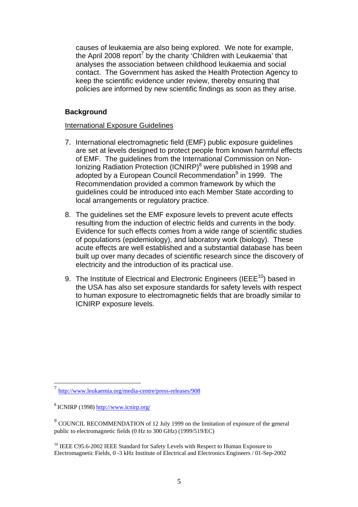causes of leukaemia are also being explored. We note for example, the April 2008 report<sup>[7](#page-4-0)</sup> by the charity 'Children with Leukaemia' that analyses the association between childhood leukaemia and social contact. The Government has asked the Health Protection Agency to keep the scientific evidence under review, thereby ensuring that policies are informed by new scientific findings as soon as they arise.

# **Background**

## International Exposure Guidelines

- 7. International electromagnetic field (EMF) public exposure guidelines are set at levels designed to protect people from known harmful effects of EMF. The guidelines from the International Commission on Non-Ionizing Radiation Protection (ICNIRP)<sup>[8](#page-4-1)</sup> were published in 1998 and adopted by a European Council Recommendation<sup>[9](#page-4-2)</sup> in 1999. The Recommendation provided a common framework by which the guidelines could be introduced into each Member State according to local arrangements or regulatory practice.
- 8. The guidelines set the EMF exposure levels to prevent acute effects resulting from the induction of electric fields and currents in the body. Evidence for such effects comes from a wide range of scientific studies of populations (epidemiology), and laboratory work (biology). These acute effects are well established and a substantial database has been built up over many decades of scientific research since the discovery of electricity and the introduction of its practical use.
- 9. The Institute of Electrical and Electronic Engineers (IEEE<sup>10</sup>) based in the USA has also set exposure standards for safety levels with respect to human exposure to electromagnetic fields that are broadly similar to ICNIRP exposure levels.

 $\overline{a}$ 

<span id="page-4-0"></span><sup>7</sup> <http://www.leukaemia.org/media-centre/press-releases/908>

<span id="page-4-1"></span><sup>8</sup> ICNIRP (1998) <http://www.icnirp.org/>

<span id="page-4-2"></span><sup>9</sup> COUNCIL RECOMMENDATION of 12 July 1999 on the limitation of exposure of the general public to electromagnetic fields (0 Hz to 300 GHz) (1999/519/EC)

<span id="page-4-3"></span><sup>&</sup>lt;sup>10</sup> IEEE C95.6-2002 IEEE Standard for Safety Levels with Respect to Human Exposure to Electromagnetic Fields, 0 -3 kHz Institute of Electrical and Electronics Engineers / 01-Sep-2002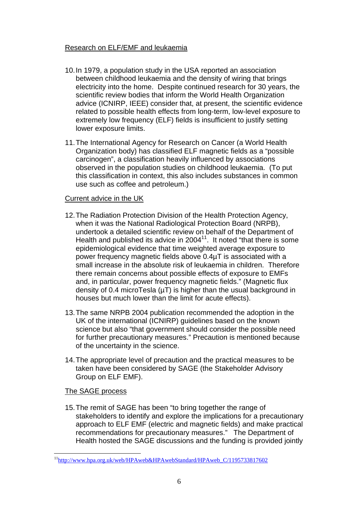# Research on ELF/EMF and leukaemia

- 10. In 1979, a population study in the USA reported an association between childhood leukaemia and the density of wiring that brings electricity into the home. Despite continued research for 30 years, the scientific review bodies that inform the World Health Organization advice (ICNIRP, IEEE) consider that, at present, the scientific evidence related to possible health effects from long-term, low-level exposure to extremely low frequency (ELF) fields is insufficient to justify setting lower exposure limits.
- 11. The International Agency for Research on Cancer (a World Health Organization body) has classified ELF magnetic fields as a "possible carcinogen", a classification heavily influenced by associations observed in the population studies on childhood leukaemia. (To put this classification in context, this also includes substances in common use such as coffee and petroleum.)

# Current advice in the UK

- 12. The Radiation Protection Division of the Health Protection Agency, when it was the National Radiological Protection Board (NRPB), undertook a detailed scientific review on behalf of the Department of Health and published its advice in 2004[11.](#page-5-0) It noted "that there is some epidemiological evidence that time weighted average exposure to power frequency magnetic fields above 0.4µT is associated with a small increase in the absolute risk of leukaemia in children. Therefore there remain concerns about possible effects of exposure to EMFs and, in particular, power frequency magnetic fields." (Magnetic flux density of 0.4 microTesla  $(\mu)$  is higher than the usual background in houses but much lower than the limit for acute effects).
- 13. The same NRPB 2004 publication recommended the adoption in the UK of the international (ICNIRP) guidelines based on the known science but also "that government should consider the possible need for further precautionary measures." Precaution is mentioned because of the uncertainty in the science.
- 14. The appropriate level of precaution and the practical measures to be taken have been considered by SAGE (the Stakeholder Advisory Group on ELF EMF).

# The SAGE process

 $\overline{a}$ 

15. The remit of SAGE has been "to bring together the range of stakeholders to identify and explore the implications for a precautionary approach to ELF EMF (electric and magnetic fields) and make practical recommendations for precautionary measures." The Department of Health hosted the SAGE discussions and the funding is provided jointly

<span id="page-5-0"></span><sup>&</sup>lt;sup>11</sup>http://www.hpa.org.uk/web/HPAweb&HPAwebStandard/HPAweb\_C/1195733817602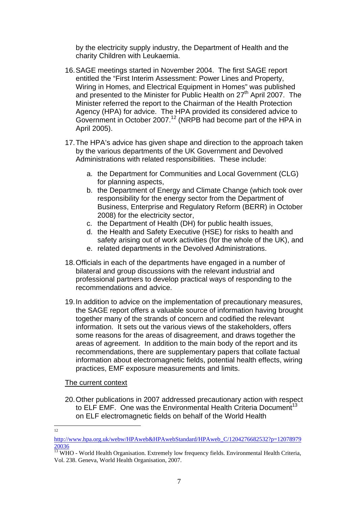by the electricity supply industry, the Department of Health and the charity Children with Leukaemia.

- 16. SAGE meetings started in November 2004. The first SAGE report entitled the "First Interim Assessment: Power Lines and Property, Wiring in Homes, and Electrical Equipment in Homes" was published and presented to the Minister for Public Health on 27<sup>th</sup> April 2007. The Minister referred the report to the Chairman of the Health Protection Agency (HPA) for advice. The HPA provided its considered advice to Government in October 2007.<sup>12</sup> (NRPB had become part of the HPA in April 2005).
- 17. The HPA's advice has given shape and direction to the approach taken by the various departments of the UK Government and Devolved Administrations with related responsibilities. These include:
	- a. the Department for Communities and Local Government (CLG) for planning aspects,
	- b. the Department of Energy and Climate Change (which took over responsibility for the energy sector from the Department of Business, Enterprise and Regulatory Reform (BERR) in October 2008) for the electricity sector,
	- c. the Department of Health (DH) for public health issues,
	- d. the Health and Safety Executive (HSE) for risks to health and safety arising out of work activities (for the whole of the UK), and
	- e. related departments in the Devolved Administrations.
- 18. Officials in each of the departments have engaged in a number of bilateral and group discussions with the relevant industrial and professional partners to develop practical ways of responding to the recommendations and advice.
- 19. In addition to advice on the implementation of precautionary measures, the SAGE report offers a valuable source of information having brought together many of the strands of concern and codified the relevant information. It sets out the various views of the stakeholders, offers some reasons for the areas of disagreement, and draws together the areas of agreement. In addition to the main body of the report and its recommendations, there are supplementary papers that collate factual information about electromagnetic fields, potential health effects, wiring practices, EMF exposure measurements and limits.

The current context

- 20. Other publications in 2007 addressed precautionary action with respect to ELF EMF. One was the Environmental Health Criteria Document<sup>13</sup> on ELF electromagnetic fields on behalf of the World Health
- $\frac{1}{12}$

<span id="page-6-0"></span>[http://www.hpa.org.uk/webw/HPAweb&HPAwebStandard/HPAweb\\_C/1204276682532?p=12078979](http://www.hpa.org.uk/webw/HPAweb&HPAwebStandard/HPAweb_C/1204276682532?p=1207897920036)

<span id="page-6-1"></span> $\frac{20036}{^{13}}$  $\frac{20036}{^{13}}$  $\frac{20036}{^{13}}$  $\frac{20036}{^{13}}$  $\frac{20036}{^{13}}$  WHO - World Health Organisation. Extremely low frequency fields. Environmental Health Criteria, Vol. 238. Geneva, World Health Organisation, 2007.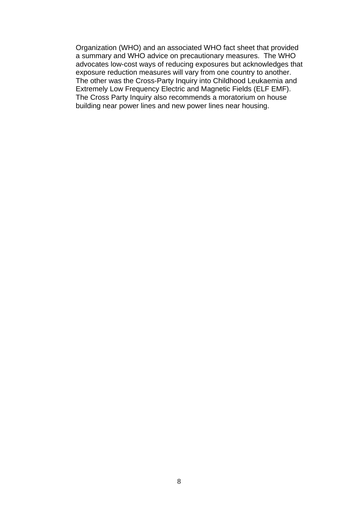Organization (WHO) and an associated WHO fact sheet that provided a summary and WHO advice on precautionary measures. The WHO advocates low-cost ways of reducing exposures but acknowledges that exposure reduction measures will vary from one country to another. The other was the Cross-Party Inquiry into Childhood Leukaemia and Extremely Low Frequency Electric and Magnetic Fields (ELF EMF). The Cross Party Inquiry also recommends a moratorium on house building near power lines and new power lines near housing.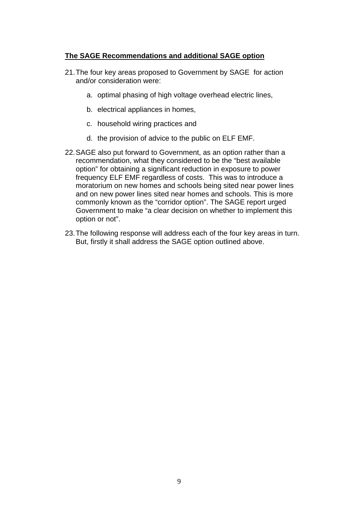# **The SAGE Recommendations and additional SAGE option**

- 21. The four key areas proposed to Government by SAGE for action and/or consideration were:
	- a. optimal phasing of high voltage overhead electric lines,
	- b. electrical appliances in homes,
	- c. household wiring practices and
	- d. the provision of advice to the public on ELF EMF.
- 22. SAGE also put forward to Government, as an option rather than a recommendation, what they considered to be the "best available option" for obtaining a significant reduction in exposure to power frequency ELF EMF regardless of costs. This was to introduce a moratorium on new homes and schools being sited near power lines and on new power lines sited near homes and schools. This is more commonly known as the "corridor option". The SAGE report urged Government to make "a clear decision on whether to implement this option or not".
- 23. The following response will address each of the four key areas in turn. But, firstly it shall address the SAGE option outlined above.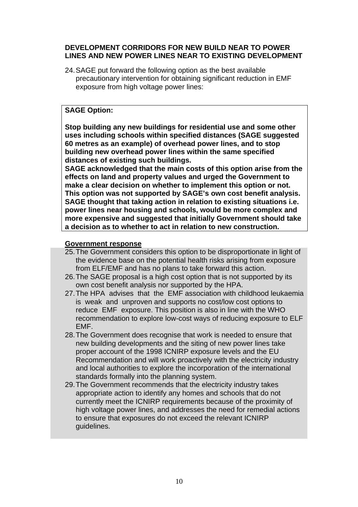## **DEVELOPMENT CORRIDORS FOR NEW BUILD NEAR TO POWER LINES AND NEW POWER LINES NEAR TO EXISTING DEVELOPMENT**

24. SAGE put forward the following option as the best available precautionary intervention for obtaining significant reduction in EMF exposure from high voltage power lines:

# **SAGE Option:**

**Stop building any new buildings for residential use and some other uses including schools within specified distances (SAGE suggested 60 metres as an example) of overhead power lines, and to stop building new overhead power lines within the same specified distances of existing such buildings.** 

**SAGE acknowledged that the main costs of this option arise from the effects on land and property values and urged the Government to make a clear decision on whether to implement this option or not. This option was not supported by SAGE's own cost benefit analysis. SAGE thought that taking action in relation to existing situations i.e. power lines near housing and schools, would be more complex and more expensive and suggested that initially Government should take a decision as to whether to act in relation to new construction.** 

## **Government response**

- 25. The Government considers this option to be disproportionate in light of the evidence base on the potential health risks arising from exposure from ELF/EMF and has no plans to take forward this action.
- 26. The SAGE proposal is a high cost option that is not supported by its own cost benefit analysis nor supported by the HPA.
- 27. The HPA advises that the EMF association with childhood leukaemia is weak and unproven and supports no cost/low cost options to reduce EMF exposure. This position is also in line with the WHO recommendation to explore low-cost ways of reducing exposure to ELF EMF.
- 28. The Government does recognise that work is needed to ensure that new building developments and the siting of new power lines take proper account of the 1998 ICNIRP exposure levels and the EU Recommendation and will work proactively with the electricity industry and local authorities to explore the incorporation of the international standards formally into the planning system.
- 29. The Government recommends that the electricity industry takes appropriate action to identify any homes and schools that do not currently meet the ICNIRP requirements because of the proximity of high voltage power lines, and addresses the need for remedial actions to ensure that exposures do not exceed the relevant ICNIRP guidelines.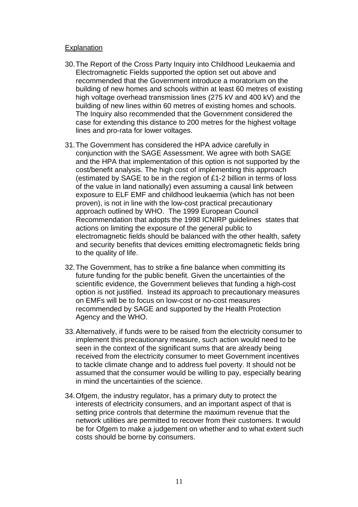#### **Explanation**

- 30. The Report of the Cross Party Inquiry into Childhood Leukaemia and Electromagnetic Fields supported the option set out above and recommended that the Government introduce a moratorium on the building of new homes and schools within at least 60 metres of existing high voltage overhead transmission lines (275 kV and 400 kV) and the building of new lines within 60 metres of existing homes and schools. The Inquiry also recommended that the Government considered the case for extending this distance to 200 metres for the highest voltage lines and pro-rata for lower voltages.
- 31. The Government has considered the HPA advice carefully in conjunction with the SAGE Assessment. We agree with both SAGE and the HPA that implementation of this option is not supported by the cost/benefit analysis. The high cost of implementing this approach (estimated by SAGE to be in the region of £1-2 billion in terms of loss of the value in land nationally) even assuming a causal link between exposure to ELF EMF and childhood leukaemia (which has not been proven), is not in line with the low-cost practical precautionary approach outlined by WHO. The 1999 European Council Recommendation that adopts the 1998 ICNIRP guidelines states that actions on limiting the exposure of the general public to electromagnetic fields should be balanced with the other health, safety and security benefits that devices emitting electromagnetic fields bring to the quality of life.
- 32. The Government, has to strike a fine balance when committing its future funding for the public benefit. Given the uncertainties of the scientific evidence, the Government believes that funding a high-cost option is not justified. Instead its approach to precautionary measures on EMFs will be to focus on low-cost or no-cost measures recommended by SAGE and supported by the Health Protection Agency and the WHO.
- 33. Alternatively, if funds were to be raised from the electricity consumer to implement this precautionary measure, such action would need to be seen in the context of the significant sums that are already being received from the electricity consumer to meet Government incentives to tackle climate change and to address fuel poverty. It should not be assumed that the consumer would be willing to pay, especially bearing in mind the uncertainties of the science.
- 34. Ofgem, the industry regulator, has a primary duty to protect the interests of electricity consumers, and an important aspect of that is setting price controls that determine the maximum revenue that the network utilities are permitted to recover from their customers. It would be for Ofgem to make a judgement on whether and to what extent such costs should be borne by consumers.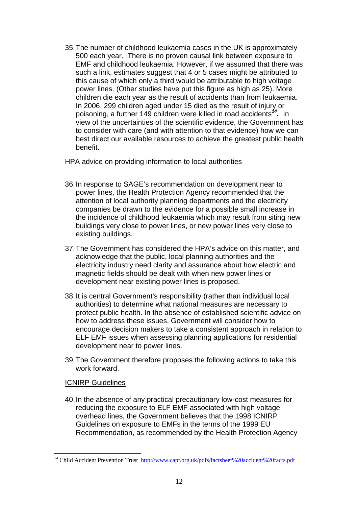35. The number of childhood leukaemia cases in the UK is approximately 500 each year. There is no proven causal link between exposure to EMF and childhood leukaemia. However, if we assumed that there was such a link, estimates suggest that 4 or 5 cases might be attributed to this cause of which only a third would be attributable to high voltage power lines. (Other studies have put this figure as high as 25). More children die each year as the result of accidents than from leukaemia. In 2006, 299 children aged under 15 died as the result of injury or poisoning, a further 149 children were killed in road accidents*[14.](#page-11-0)* In view of the uncertainties of the scientific evidence, the Government has to consider with care (and with attention to that evidence) how we can best direct our available resources to achieve the greatest public health benefit.

## HPA advice on providing information to local authorities

- 36. In response to SAGE's recommendation on development near to power lines, the Health Protection Agency recommended that the attention of local authority planning departments and the electricity companies be drawn to the evidence for a possible small increase in the incidence of childhood leukaemia which may result from siting new buildings very close to power lines, or new power lines very close to existing buildings.
- 37. The Government has considered the HPA's advice on this matter, and acknowledge that the public, local planning authorities and the electricity industry need clarity and assurance about how electric and magnetic fields should be dealt with when new power lines or development near existing power lines is proposed.
- 38. It is central Government's responsibility (rather than individual local authorities) to determine what national measures are necessary to protect public health. In the absence of established scientific advice on how to address these issues, Government will consider how to encourage decision makers to take a consistent approach in relation to ELF EMF issues when assessing planning applications for residential development near to power lines.
- 39. The Government therefore proposes the following actions to take this work forward.

# ICNIRP Guidelines

 $\overline{a}$ 

40. In the absence of any practical precautionary low-cost measures for reducing the exposure to ELF EMF associated with high voltage overhead lines, the Government believes that the 1998 ICNIRP Guidelines on exposure to EMFs in the terms of the 1999 EU Recommendation, as recommended by the Health Protection Agency

<span id="page-11-0"></span><sup>&</sup>lt;sup>14</sup> Child Accident Prevention Trust [http://www.capt.org.uk/pdfs/factsheet%20accident%20facts.pdf](http://www.capt.org.uk/pdfs/factsheet accident facts.pdf)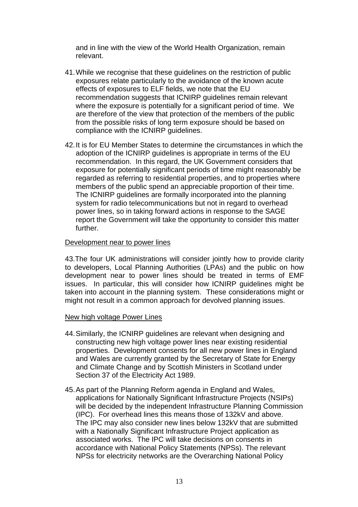and in line with the view of the World Health Organization, remain relevant.

- 41. While we recognise that these guidelines on the restriction of public exposures relate particularly to the avoidance of the known acute effects of exposures to ELF fields, we note that the EU recommendation suggests that ICNIRP guidelines remain relevant where the exposure is potentially for a significant period of time. We are therefore of the view that protection of the members of the public from the possible risks of long term exposure should be based on compliance with the ICNIRP guidelines.
- 42. It is for EU Member States to determine the circumstances in which the adoption of the ICNIRP guidelines is appropriate in terms of the EU recommendation. In this regard, the UK Government considers that exposure for potentially significant periods of time might reasonably be regarded as referring to residential properties, and to properties where members of the public spend an appreciable proportion of their time. The ICNIRP guidelines are formally incorporated into the planning system for radio telecommunications but not in regard to overhead power lines, so in taking forward actions in response to the SAGE report the Government will take the opportunity to consider this matter further.

## Development near to power lines

43.The four UK administrations will consider jointly how to provide clarity to developers, Local Planning Authorities (LPAs) and the public on how development near to power lines should be treated in terms of EMF issues. In particular, this will consider how ICNIRP guidelines might be taken into account in the planning system. These considerations might or might not result in a common approach for devolved planning issues.

#### New high voltage Power Lines

- 44. Similarly, the ICNIRP guidelines are relevant when designing and constructing new high voltage power lines near existing residential properties. Development consents for all new power lines in England and Wales are currently granted by the Secretary of State for Energy and Climate Change and by Scottish Ministers in Scotland under Section 37 of the Electricity Act 1989.
- 45. As part of the Planning Reform agenda in England and Wales, applications for Nationally Significant Infrastructure Projects (NSIPs) will be decided by the independent Infrastructure Planning Commission (IPC). For overhead lines this means those of 132kV and above. The IPC may also consider new lines below 132kV that are submitted with a Nationally Significant Infrastructure Project application as associated works. The IPC will take decisions on consents in accordance with National Policy Statements (NPSs). The relevant NPSs for electricity networks are the Overarching National Policy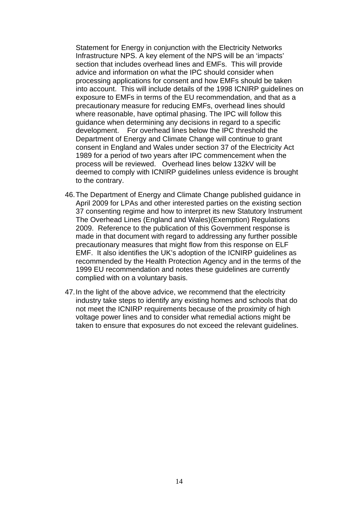Statement for Energy in conjunction with the Electricity Networks Infrastructure NPS. A key element of the NPS will be an 'impacts' section that includes overhead lines and EMFs. This will provide advice and information on what the IPC should consider when processing applications for consent and how EMFs should be taken into account. This will include details of the 1998 ICNIRP guidelines on exposure to EMFs in terms of the EU recommendation, and that as a precautionary measure for reducing EMFs, overhead lines should where reasonable, have optimal phasing. The IPC will follow this guidance when determining any decisions in regard to a specific development. For overhead lines below the IPC threshold the Department of Energy and Climate Change will continue to grant consent in England and Wales under section 37 of the Electricity Act 1989 for a period of two years after IPC commencement when the process will be reviewed. Overhead lines below 132kV will be deemed to comply with ICNIRP guidelines unless evidence is brought to the contrary.

- 46. The Department of Energy and Climate Change published guidance in April 2009 for LPAs and other interested parties on the existing section 37 consenting regime and how to interpret its new Statutory Instrument The Overhead Lines (England and Wales)(Exemption) Regulations 2009. Reference to the publication of this Government response is made in that document with regard to addressing any further possible precautionary measures that might flow from this response on ELF EMF. It also identifies the UK's adoption of the ICNIRP guidelines as recommended by the Health Protection Agency and in the terms of the 1999 EU recommendation and notes these guidelines are currently complied with on a voluntary basis.
- 47. In the light of the above advice, we recommend that the electricity industry take steps to identify any existing homes and schools that do not meet the ICNIRP requirements because of the proximity of high voltage power lines and to consider what remedial actions might be taken to ensure that exposures do not exceed the relevant guidelines.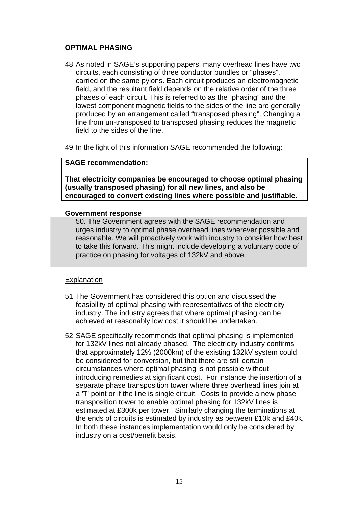# **OPTIMAL PHASING**

- 48. As noted in SAGE's supporting papers, many overhead lines have two circuits, each consisting of three conductor bundles or "phases", carried on the same pylons. Each circuit produces an electromagnetic field, and the resultant field depends on the relative order of the three phases of each circuit. This is referred to as the "phasing" and the lowest component magnetic fields to the sides of the line are generally produced by an arrangement called "transposed phasing". Changing a line from un-transposed to transposed phasing reduces the magnetic field to the sides of the line.
- 49. In the light of this information SAGE recommended the following:

# **SAGE recommendation:**

**That electricity companies be encouraged to choose optimal phasing (usually transposed phasing) for all new lines, and also be encouraged to convert existing lines where possible and justifiable.** 

## **Government response**

50. The Government agrees with the SAGE recommendation and urges industry to optimal phase overhead lines wherever possible and reasonable. We will proactively work with industry to consider how best to take this forward. This might include developing a voluntary code of practice on phasing for voltages of 132kV and above.

# **Explanation**

- 51. The Government has considered this option and discussed the feasibility of optimal phasing with representatives of the electricity industry. The industry agrees that where optimal phasing can be achieved at reasonably low cost it should be undertaken.
- 52. SAGE specifically recommends that optimal phasing is implemented for 132kV lines not already phased. The electricity industry confirms that approximately 12% (2000km) of the existing 132kV system could be considered for conversion, but that there are still certain circumstances where optimal phasing is not possible without introducing remedies at significant cost. For instance the insertion of a separate phase transposition tower where three overhead lines join at a 'T' point or if the line is single circuit. Costs to provide a new phase transposition tower to enable optimal phasing for 132kV lines is estimated at £300k per tower. Similarly changing the terminations at the ends of circuits is estimated by industry as between £10k and £40k. In both these instances implementation would only be considered by industry on a cost/benefit basis.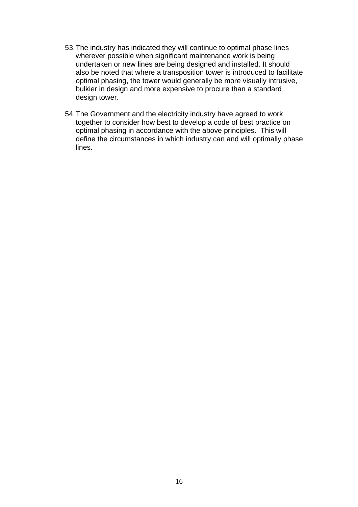- 53. The industry has indicated they will continue to optimal phase lines wherever possible when significant maintenance work is being undertaken or new lines are being designed and installed. It should also be noted that where a transposition tower is introduced to facilitate optimal phasing, the tower would generally be more visually intrusive, bulkier in design and more expensive to procure than a standard design tower.
- 54. The Government and the electricity industry have agreed to work together to consider how best to develop a code of best practice on optimal phasing in accordance with the above principles. This will define the circumstances in which industry can and will optimally phase lines.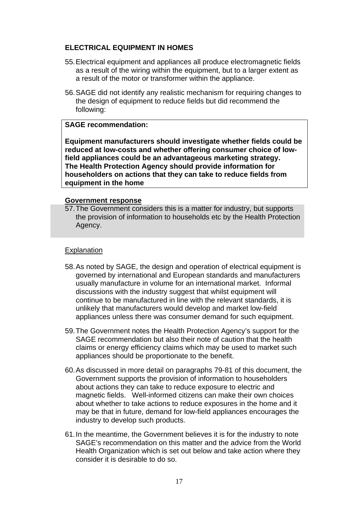# **ELECTRICAL EQUIPMENT IN HOMES**

- 55. Electrical equipment and appliances all produce electromagnetic fields as a result of the wiring within the equipment, but to a larger extent as a result of the motor or transformer within the appliance.
- 56. SAGE did not identify any realistic mechanism for requiring changes to the design of equipment to reduce fields but did recommend the following:

# **SAGE recommendation:**

**Equipment manufacturers should investigate whether fields could be reduced at low-costs and whether offering consumer choice of lowfield appliances could be an advantageous marketing strategy. The Health Protection Agency should provide information for householders on actions that they can take to reduce fields from equipment in the home** 

#### **Government response**

57. The Government considers this is a matter for industry, but supports the provision of information to households etc by the Health Protection Agency.

#### **Explanation**

- 58. As noted by SAGE, the design and operation of electrical equipment is governed by international and European standards and manufacturers usually manufacture in volume for an international market. Informal discussions with the industry suggest that whilst equipment will continue to be manufactured in line with the relevant standards, it is unlikely that manufacturers would develop and market low-field appliances unless there was consumer demand for such equipment.
- 59. The Government notes the Health Protection Agency's support for the SAGE recommendation but also their note of caution that the health claims or energy efficiency claims which may be used to market such appliances should be proportionate to the benefit.
- 60. As discussed in more detail on paragraphs 79-81 of this document, the Government supports the provision of information to householders about actions they can take to reduce exposure to electric and magnetic fields. Well-informed citizens can make their own choices about whether to take actions to reduce exposures in the home and it may be that in future, demand for low-field appliances encourages the industry to develop such products.
- 61. In the meantime, the Government believes it is for the industry to note SAGE's recommendation on this matter and the advice from the World Health Organization which is set out below and take action where they consider it is desirable to do so.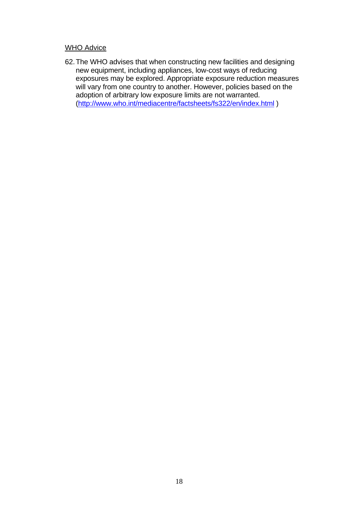# WHO Advice

62.The WHO advises that when constructing new facilities and designing new equipment, including appliances, low-cost ways of reducing exposures may be explored. Appropriate exposure reduction measures will vary from one country to another. However, policies based on the adoption of arbitrary low exposure limits are not warranted. (<http://www.who.int/mediacentre/factsheets/fs322/en/index.html>)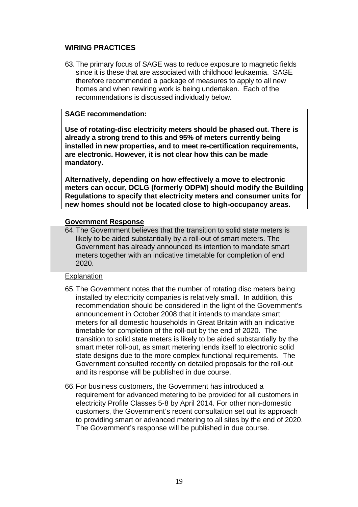# **WIRING PRACTICES**

63.The primary focus of SAGE was to reduce exposure to magnetic fields since it is these that are associated with childhood leukaemia. SAGE therefore recommended a package of measures to apply to all new homes and when rewiring work is being undertaken. Each of the recommendations is discussed individually below.

# **SAGE recommendation:**

**Use of rotating-disc electricity meters should be phased out. There is already a strong trend to this and 95% of meters currently being installed in new properties, and to meet re-certification requirements, are electronic. However, it is not clear how this can be made mandatory.** 

**Alternatively, depending on how effectively a move to electronic meters can occur, DCLG (formerly ODPM) should modify the Building Regulations to specify that electricity meters and consumer units for new homes should not be located close to high-occupancy areas.** 

## **Government Response**

64. The Government believes that the transition to solid state meters is likely to be aided substantially by a roll-out of smart meters. The Government has already announced its intention to mandate smart meters together with an indicative timetable for completion of end 2020.

# Explanation

- 65. The Government notes that the number of rotating disc meters being installed by electricity companies is relatively small. In addition, this recommendation should be considered in the light of the Government's announcement in October 2008 that it intends to mandate smart meters for all domestic households in Great Britain with an indicative timetable for completion of the roll-out by the end of 2020. The transition to solid state meters is likely to be aided substantially by the smart meter roll-out, as smart metering lends itself to electronic solid state designs due to the more complex functional requirements. The Government consulted recently on detailed proposals for the roll-out and its response will be published in due course.
- 66. For business customers, the Government has introduced a requirement for advanced metering to be provided for all customers in electricity Profile Classes 5-8 by April 2014. For other non-domestic customers, the Government's recent consultation set out its approach to providing smart or advanced metering to all sites by the end of 2020. The Government's response will be published in due course.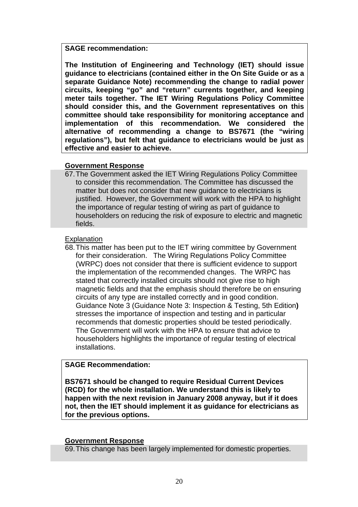#### **SAGE recommendation:**

**The Institution of Engineering and Technology (IET) should issue guidance to electricians (contained either in the On Site Guide or as a separate Guidance Note) recommending the change to radial power circuits, keeping "go" and "return" currents together, and keeping meter tails together. The IET Wiring Regulations Policy Committee should consider this, and the Government representatives on this committee should take responsibility for monitoring acceptance and implementation of this recommendation. We considered the alternative of recommending a change to BS7671 (the "wiring regulations"), but felt that guidance to electricians would be just as effective and easier to achieve.** 

# **Government Response**

67. The Government asked the IET Wiring Regulations Policy Committee to consider this recommendation. The Committee has discussed the matter but does not consider that new guidance to electricians is justified. However, the Government will work with the HPA to highlight the importance of regular testing of wiring as part of guidance to householders on reducing the risk of exposure to electric and magnetic fields.

# Explanation

68. This matter has been put to the IET wiring committee by Government for their consideration. The Wiring Regulations Policy Committee (WRPC) does not consider that there is sufficient evidence to support the implementation of the recommended changes. The WRPC has stated that correctly installed circuits should not give rise to high magnetic fields and that the emphasis should therefore be on ensuring circuits of any type are installed correctly and in good condition. Guidance Note 3 (Guidance Note 3: Inspection & Testing, 5th Edition**)** stresses the importance of inspection and testing and in particular recommends that domestic properties should be tested periodically. The Government will work with the HPA to ensure that advice to householders highlights the importance of regular testing of electrical installations.

# **SAGE Recommendation:**

**BS7671 should be changed to require Residual Current Devices (RCD) for the whole installation. We understand this is likely to happen with the next revision in January 2008 anyway, but if it does not, then the IET should implement it as guidance for electricians as for the previous options.**

# **Government Response**

69. This change has been largely implemented for domestic properties.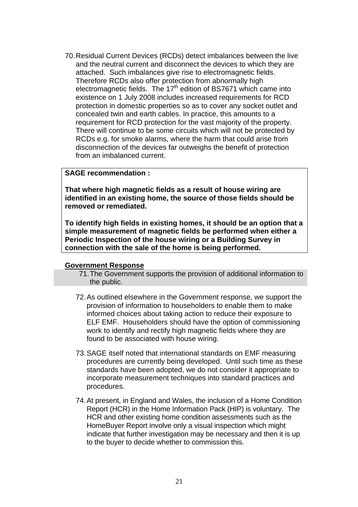70. Residual Current Devices (RCDs) detect imbalances between the live and the neutral current and disconnect the devices to which they are attached. Such imbalances give rise to electromagnetic fields. Therefore RCDs also offer protection from abnormally high electromagnetic fields. The 17<sup>th</sup> edition of BS7671 which came into existence on 1 July 2008 includes increased requirements for RCD protection in domestic properties so as to cover any socket outlet and concealed twin and earth cables. In practice, this amounts to a requirement for RCD protection for the vast majority of the property. There will continue to be some circuits which will not be protected by RCDs e.g. for smoke alarms, where the harm that could arise from disconnection of the devices far outweighs the benefit of protection from an imbalanced current.

## **SAGE recommendation :**

**That where high magnetic fields as a result of house wiring are identified in an existing home, the source of those fields should be removed or remediated.** 

**To identify high fields in existing homes, it should be an option that a simple measurement of magnetic fields be performed when either a Periodic Inspection of the house wiring or a Building Survey in connection with the sale of the home is being performed.** 

#### **Government Response**

- 71. The Government supports the provision of additional information to the public.
- 72. As outlined elsewhere in the Government response, we support the provision of information to householders to enable them to make informed choices about taking action to reduce their exposure to ELF EMF. Householders should have the option of commissioning work to identify and rectify high magnetic fields where they are found to be associated with house wiring.
- 73. SAGE itself noted that international standards on EMF measuring procedures are currently being developed. Until such time as these standards have been adopted, we do not consider it appropriate to incorporate measurement techniques into standard practices and procedures.
- 74.At present, in England and Wales, the inclusion of a Home Condition Report (HCR) in the Home Information Pack (HIP) is voluntary. The HCR and other existing home condition assessments such as the HomeBuyer Report involve only a visual inspection which might indicate that further investigation may be necessary and then it is up to the buyer to decide whether to commission this.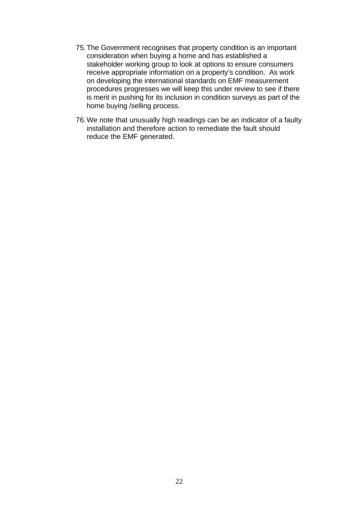- 75.The Government recognises that property condition is an important consideration when buying a home and has established a stakeholder working group to look at options to ensure consumers receive appropriate information on a property's condition. As work on developing the international standards on EMF measurement procedures progresses we will keep this under review to see if there is merit in pushing for its inclusion in condition surveys as part of the home buying /selling process.
- 76. We note that unusually high readings can be an indicator of a faulty installation and therefore action to remediate the fault should reduce the EMF generated.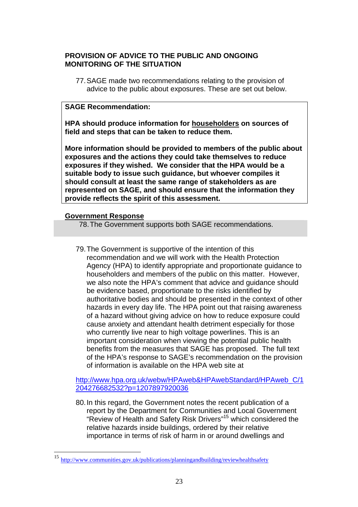# **PROVISION OF ADVICE TO THE PUBLIC AND ONGOING MONITORING OF THE SITUATION**

77. SAGE made two recommendations relating to the provision of advice to the public about exposures. These are set out below.

# **SAGE Recommendation:**

**HPA should produce information for householders on sources of field and steps that can be taken to reduce them.**

**More information should be provided to members of the public about exposures and the actions they could take themselves to reduce exposures if they wished. We consider that the HPA would be a suitable body to issue such guidance, but whoever compiles it should consult at least the same range of stakeholders as are represented on SAGE, and should ensure that the information they provide reflects the spirit of this assessment.** 

## **Government Response**

 $\overline{a}$ 

78. The Government supports both SAGE recommendations.

79. The Government is supportive of the intention of this recommendation and we will work with the Health Protection Agency (HPA) to identify appropriate and proportionate guidance to householders and members of the public on this matter. However, we also note the HPA's comment that advice and guidance should be evidence based, proportionate to the risks identified by authoritative bodies and should be presented in the context of other hazards in every day life. The HPA point out that raising awareness of a hazard without giving advice on how to reduce exposure could cause anxiety and attendant health detriment especially for those who currently live near to high voltage powerlines. This is an important consideration when viewing the potential public health benefits from the measures that SAGE has proposed. The full text of the HPA's response to SAGE's recommendation on the provision of information is available on the HPA web site at

[http://www.hpa.org.uk/webw/HPAweb&HPAwebStandard/HPAweb\\_C/1](http://www.hpa.org.uk/webw/HPAweb&HPAwebStandard/HPAweb_C/1204276682532?p=1207897920036) [204276682532?p=1207897920036](http://www.hpa.org.uk/webw/HPAweb&HPAwebStandard/HPAweb_C/1204276682532?p=1207897920036)

80. In this regard, the Government notes the recent publication of a report by the Department for Communities and Local Government "Review of Health and Safety Risk Drivers["15](#page-22-0) which considered the relative hazards inside buildings, ordered by their relative importance in terms of risk of harm in or around dwellings and

<span id="page-22-0"></span><sup>15</sup> <http://www.communities.gov.uk/publications/planningandbuilding/reviewhealthsafety>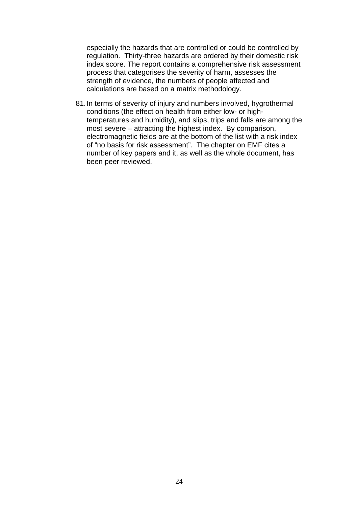especially the hazards that are controlled or could be controlled by regulation. Thirty-three hazards are ordered by their domestic risk index score. The report contains a comprehensive risk assessment process that categorises the severity of harm, assesses the strength of evidence, the numbers of people affected and calculations are based on a matrix methodology.

81. In terms of severity of injury and numbers involved, hygrothermal conditions (the effect on health from either low- or hightemperatures and humidity), and slips, trips and falls are among the most severe – attracting the highest index. By comparison, electromagnetic fields are at the bottom of the list with a risk index of "no basis for risk assessment". The chapter on EMF cites a number of key papers and it, as well as the whole document, has been peer reviewed.